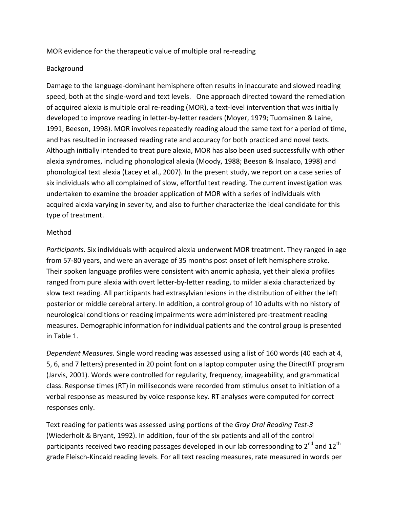MOR evidence for the therapeutic value of multiple oral re-reading

## Background

Damage to the language-dominant hemisphere often results in inaccurate and slowed reading speed, both at the single-word and text levels. One approach directed toward the remediation of acquired alexia is multiple oral re-reading (MOR), a text-level intervention that was initially developed to improve reading in letter-by-letter readers (Moyer, 1979; Tuomainen & Laine, 1991; Beeson, 1998). MOR involves repeatedly reading aloud the same text for a period of time, and has resulted in increased reading rate and accuracy for both practiced and novel texts. Although initially intended to treat pure alexia, MOR has also been used successfully with other alexia syndromes, including phonological alexia (Moody, 1988; Beeson & Insalaco, 1998) and phonological text alexia (Lacey et al., 2007). In the present study, we report on a case series of six individuals who all complained of slow, effortful text reading. The current investigation was undertaken to examine the broader application of MOR with a series of individuals with acquired alexia varying in severity, and also to further characterize the ideal candidate for this type of treatment.

## Method

*Participants.* Six individuals with acquired alexia underwent MOR treatment. They ranged in age from 57-80 years, and were an average of 35 months post onset of left hemisphere stroke. Their spoken language profiles were consistent with anomic aphasia, yet their alexia profiles ranged from pure alexia with overt letter-by-letter reading, to milder alexia characterized by slow text reading. All participants had extrasylvian lesions in the distribution of either the left posterior or middle cerebral artery. In addition, a control group of 10 adults with no history of neurological conditions or reading impairments were administered pre-treatment reading measures. Demographic information for individual patients and the control group is presented in Table 1.

*Dependent Measures.* Single word reading was assessed using a list of 160 words (40 each at 4, 5, 6, and 7 letters) presented in 20 point font on a laptop computer using the DirectRT program (Jarvis, 2001). Words were controlled for regularity, frequency, imageability, and grammatical class. Response times (RT) in milliseconds were recorded from stimulus onset to initiation of a verbal response as measured by voice response key. RT analyses were computed for correct responses only.

Text reading for patients was assessed using portions of the *Gray Oral Reading Test-3* (Wiederholt & Bryant, 1992). In addition, four of the six patients and all of the control participants received two reading passages developed in our lab corresponding to  $2^{nd}$  and  $12^{th}$ grade Fleisch-Kincaid reading levels. For all text reading measures, rate measured in words per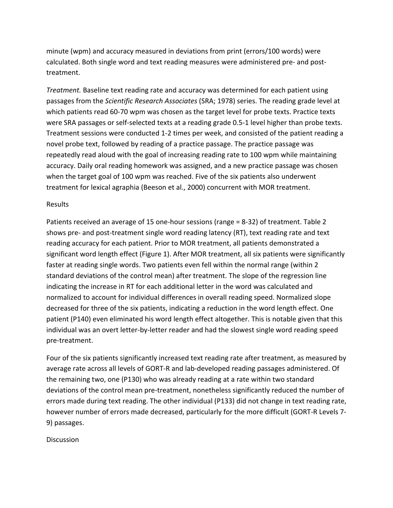minute (wpm) and accuracy measured in deviations from print (errors/100 words) were calculated. Both single word and text reading measures were administered pre- and posttreatment.

*Treatment.* Baseline text reading rate and accuracy was determined for each patient using passages from the *Scientific Research Associates* (SRA; 1978) series. The reading grade level at which patients read 60-70 wpm was chosen as the target level for probe texts. Practice texts were SRA passages or self-selected texts at a reading grade 0.5-1 level higher than probe texts. Treatment sessions were conducted 1-2 times per week, and consisted of the patient reading a novel probe text, followed by reading of a practice passage. The practice passage was repeatedly read aloud with the goal of increasing reading rate to 100 wpm while maintaining accuracy. Daily oral reading homework was assigned, and a new practice passage was chosen when the target goal of 100 wpm was reached. Five of the six patients also underwent treatment for lexical agraphia (Beeson et al., 2000) concurrent with MOR treatment.

#### Results

Patients received an average of 15 one-hour sessions (range = 8-32) of treatment. Table 2 shows pre- and post-treatment single word reading latency (RT), text reading rate and text reading accuracy for each patient. Prior to MOR treatment, all patients demonstrated a significant word length effect (Figure 1). After MOR treatment, all six patients were significantly faster at reading single words. Two patients even fell within the normal range (within 2 standard deviations of the control mean) after treatment. The slope of the regression line indicating the increase in RT for each additional letter in the word was calculated and normalized to account for individual differences in overall reading speed. Normalized slope decreased for three of the six patients, indicating a reduction in the word length effect. One patient (P140) even eliminated his word length effect altogether. This is notable given that this individual was an overt letter-by-letter reader and had the slowest single word reading speed pre-treatment.

Four of the six patients significantly increased text reading rate after treatment, as measured by average rate across all levels of GORT-R and lab-developed reading passages administered. Of the remaining two, one (P130) who was already reading at a rate within two standard deviations of the control mean pre-treatment, nonetheless significantly reduced the number of errors made during text reading. The other individual (P133) did not change in text reading rate, however number of errors made decreased, particularly for the more difficult (GORT-R Levels 7-9) passages.

**Discussion**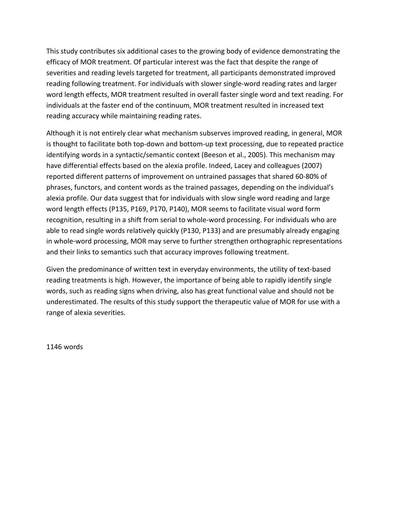This study contributes six additional cases to the growing body of evidence demonstrating the efficacy of MOR treatment. Of particular interest was the fact that despite the range of severities and reading levels targeted for treatment, all participants demonstrated improved reading following treatment. For individuals with slower single-word reading rates and larger word length effects, MOR treatment resulted in overall faster single word and text reading. For individuals at the faster end of the continuum, MOR treatment resulted in increased text reading accuracy while maintaining reading rates.

Although it is not entirely clear what mechanism subserves improved reading, in general, MOR is thought to facilitate both top-down and bottom-up text processing, due to repeated practice identifying words in a syntactic/semantic context (Beeson et al., 2005). This mechanism may have differential effects based on the alexia profile. Indeed, Lacey and colleagues (2007) reported different patterns of improvement on untrained passages that shared 60-80% of phrases, functors, and content words as the trained passages, depending on the individual's alexia profile. Our data suggest that for individuals with slow single word reading and large word length effects (P135, P169, P170, P140), MOR seems to facilitate visual word form recognition, resulting in a shift from serial to whole-word processing. For individuals who are able to read single words relatively quickly (P130, P133) and are presumably already engaging in whole-word processing, MOR may serve to further strengthen orthographic representations and their links to semantics such that accuracy improves following treatment.

Given the predominance of written text in everyday environments, the utility of text-based reading treatments is high. However, the importance of being able to rapidly identify single words, such as reading signs when driving, also has great functional value and should not be underestimated. The results of this study support the therapeutic value of MOR for use with a range of alexia severities.

1146 words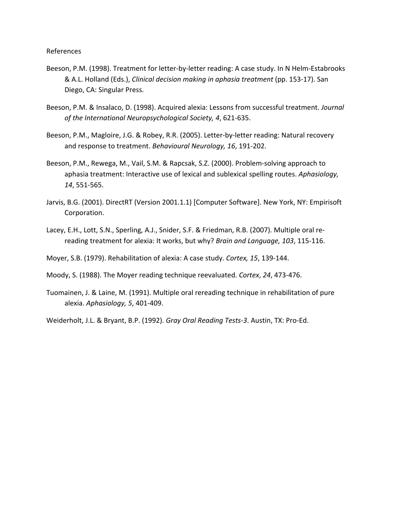- Beeson, P.M. (1998). Treatment for letter-by-letter reading: A case study. In N Helm-Estabrooks &\$A.L.\$Holland\$(Eds.),\$*Clinical+decision+making+in+aphasia+treatment*\$(pp.\$153517).\$San\$ Diego, CA: Singular Press.
- Beeson, P.M. & Insalaco, D. (1998). Acquired alexia: Lessons from successful treatment. *Journal* of the International Neuropsychological Society, 4, 621-635.
- Beeson, P.M., Magloire, J.G. & Robey, R.R. (2005). Letter-by-letter reading: Natural recovery and response to treatment. Behavioural Neurology, 16, 191-202.
- Beeson, P.M., Rewega, M., Vail, S.M. & Rapcsak, S.Z. (2000). Problem-solving approach to aphasia treatment: Interactive use of lexical and sublexical spelling routes. Aphasiology, *14*, 551-565.
- Jarvis, B.G. (2001). DirectRT (Version 2001.1.1) [Computer Software]. New York, NY: Empirisoft Corporation.
- Lacey, E.H., Lott, S.N., Sperling, A.J., Snider, S.F. & Friedman, R.B. (2007). Multiple oral rereading treatment for alexia: It works, but why? Brain and Language, 103, 115-116.
- Moyer, S.B. (1979). Rehabilitation of alexia: A case study. *Cortex, 15*, 139-144.
- Moody, S. (1988). The Moyer reading technique reevaluated. *Cortex*, 24, 473-476.
- Tuomainen, J. & Laine, M. (1991). Multiple oral rereading technique in rehabilitation of pure alexia. Aphasiology, 5, 401-409.
- Weiderholt, J.L. & Bryant, B.P. (1992). *Gray Oral Reading Tests-3*. Austin, TX: Pro-Ed.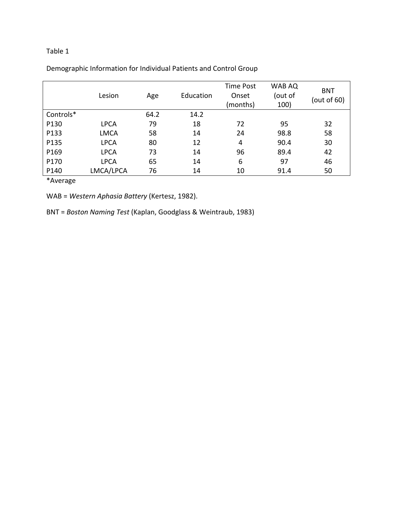## Table 1

|           | Lesion      | Age  | Education | <b>Time Post</b><br>Onset<br>(months) | WAB AQ<br>(out of<br>100) | <b>BNT</b><br>(out of 60) |
|-----------|-------------|------|-----------|---------------------------------------|---------------------------|---------------------------|
| Controls* |             | 64.2 | 14.2      |                                       |                           |                           |
| P130      | <b>LPCA</b> | 79   | 18        | 72                                    | 95                        | 32                        |
| P133      | <b>LMCA</b> | 58   | 14        | 24                                    | 98.8                      | 58                        |
| P135      | <b>LPCA</b> | 80   | 12        | 4                                     | 90.4                      | 30                        |
| P169      | <b>LPCA</b> | 73   | 14        | 96                                    | 89.4                      | 42                        |
| P170      | <b>LPCA</b> | 65   | 14        | 6                                     | 97                        | 46                        |
| P140      | LMCA/LPCA   | 76   | 14        | 10                                    | 91.4                      | 50                        |

Demographic Information for Individual Patients and Control Group

\*Average

WAB = Western Aphasia Battery (Kertesz, 1982).

BNT = Boston Naming Test (Kaplan, Goodglass & Weintraub, 1983)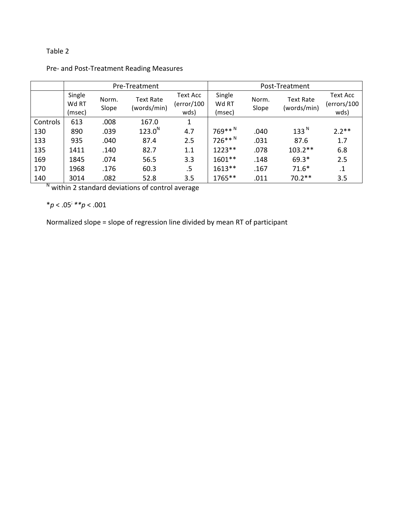# Table 2

|          | Pre-Treatment             |                |                                 |                                | Post-Treatment            |                |                                 |                                 |
|----------|---------------------------|----------------|---------------------------------|--------------------------------|---------------------------|----------------|---------------------------------|---------------------------------|
|          | Single<br>Wd RT<br>(msec) | Norm.<br>Slope | <b>Text Rate</b><br>(words/min) | Text Acc<br>(error/100<br>wds) | Single<br>Wd RT<br>(msec) | Norm.<br>Slope | <b>Text Rate</b><br>(words/min) | Text Acc<br>(errors/100<br>wds) |
| Controls | 613                       | .008           | 167.0                           | 1                              |                           |                |                                 |                                 |
| 130      | 890                       | .039           | 123.0 <sup>N</sup>              | 4.7                            | 769** <sup>N</sup>        | .040           | 133 <sup>N</sup>                | $2.2**$                         |
| 133      | 935                       | .040           | 87.4                            | 2.5                            | 726** <sup>N</sup>        | .031           | 87.6                            | 1.7                             |
| 135      | 1411                      | .140           | 82.7                            | 1.1                            | $1223**$                  | .078           | $103.2**$                       | 6.8                             |
| 169      | 1845                      | .074           | 56.5                            | 3.3                            | $1601**$                  | .148           | 69.3*                           | 2.5                             |
| 170      | 1968                      | .176           | 60.3                            | .5                             | $1613**$                  | .167           | $71.6*$                         | $\cdot$                         |
| 140      | 3014                      | .082           | 52.8                            | 3.5                            | 1765**                    | .011           | $70.2**$                        | 3.5                             |

Pre- and Post-Treatment Reading Measures

 $N$  within 2 standard deviations of control average

 $*p < .05; **p < .001$ 

Normalized slope = slope of regression line divided by mean RT of participant